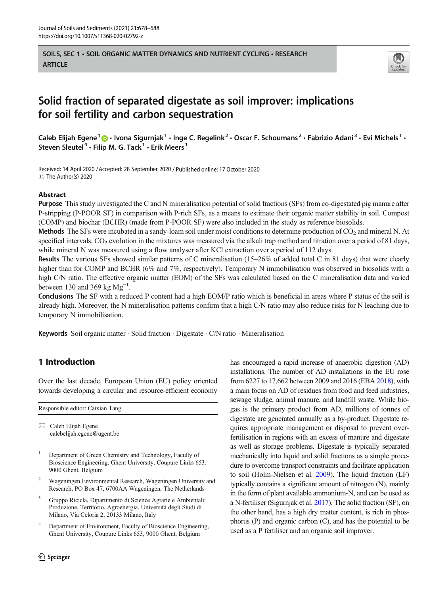SOILS, SEC 1 • SOIL ORGANIC MATTER DYNAMICS AND NUTRIENT CYCLING • RESEARCH **ARTICLE** 



# Solid fraction of separated digestate as soil improver: implications for soil fertility and carbon sequestration

Caleb Elijah Egene<sup>1</sup>  $\cdot$  Ivona Sigurnjak<sup>1</sup> · Inge C. Regelink<sup>2</sup> · Oscar F. Schoumans<sup>2</sup> · Fabrizio Adani<sup>3</sup> · Evi Michels<sup>1</sup> · Steven Sleutel<sup>4</sup> · Filip M. G. Tack<sup>1</sup> · Erik Meers<sup>1</sup>

Received: 14 April 2020 /Accepted: 28 September 2020 / Published online: 17 October 2020 © The Author(s) 2020

## Abstract

Purpose This study investigated the C and N mineralisation potential of solid fractions (SFs) from co-digestated pig manure after P-stripping (P-POOR SF) in comparison with P-rich SFs, as a means to estimate their organic matter stability in soil. Compost (COMP) and biochar (BCHR) (made from P-POOR SF) were also included in the study as reference biosolids.

**Methods** The SFs were incubated in a sandy-loam soil under moist conditions to determine production of  $CO<sub>2</sub>$  and mineral N. At specified intervals,  $CO<sub>2</sub>$  evolution in the mixtures was measured via the alkali trap method and titration over a period of 81 days, while mineral N was measured using a flow analyser after KCl extraction over a period of 112 days.

Results The various SFs showed similar patterns of C mineralisation (15–26% of added total C in 81 days) that were clearly higher than for COMP and BCHR (6% and 7%, respectively). Temporary N immobilisation was observed in biosolids with a high C/N ratio. The effective organic matter (EOM) of the SFs was calculated based on the C mineralisation data and varied between 130 and 369 kg  $Mg^{-1}$ .

Conclusions The SF with a reduced P content had a high EOM/P ratio which is beneficial in areas where P status of the soil is already high. Moreover, the N mineralisation patterns confirm that a high C/N ratio may also reduce risks for N leaching due to temporary N immobilisation.

**Keywords** Soil organic matter  $\cdot$  Solid fraction  $\cdot$  Digestate  $\cdot$  C/N ratio  $\cdot$  Mineralisation

## 1 Introduction

Over the last decade, European Union (EU) policy oriented towards developing a circular and resource-efficient economy

|--|

 $\boxtimes$  Caleb Elijah Egene [calebelijah.egene@ugent.be](mailto:calebelijah.egene@ugent.be)

- <sup>1</sup> Department of Green Chemistry and Technology, Faculty of Bioscience Engineering, Ghent University, Coupure Links 653, 9000 Ghent, Belgium
- <sup>2</sup> Wageningen Environmental Research, Wageningen University and Research, PO Box 47, 6700AA Wageningen, The Netherlands
- <sup>3</sup> Gruppo Ricicla, Dipartimento di Science Agrarie e Ambientali: Produzione, Territorio, Agroenergia, Università degli Studi di Milano, Via Celoria 2, 20133 Milano, Italy
- <sup>4</sup> Department of Environment, Faculty of Bioscience Engineering, Ghent University, Coupure Links 653, 9000 Ghent, Belgium

has encouraged a rapid increase of anaerobic digestion (AD) installations. The number of AD installations in the EU rose from 6227 to 17,662 between 2009 and 2016 (EBA [2018\)](#page-9-0), with a main focus on AD of residues from food and feed industries, sewage sludge, animal manure, and landfill waste. While biogas is the primary product from AD, millions of tonnes of digestate are generated annually as a by-product. Digestate requires appropriate management or disposal to prevent overfertilisation in regions with an excess of manure and digestate as well as storage problems. Digestate is typically separated mechanically into liquid and solid fractions as a simple procedure to overcome transport constraints and facilitate application to soil (Holm-Nielsen et al. [2009](#page-10-0)). The liquid fraction (LF) typically contains a significant amount of nitrogen (N), mainly in the form of plant available ammonium-N, and can be used as a N-fertiliser (Sigurnjak et al. [2017](#page-10-0)). The solid fraction (SF), on the other hand, has a high dry matter content, is rich in phosphorus (P) and organic carbon (C), and has the potential to be used as a P fertiliser and an organic soil improver.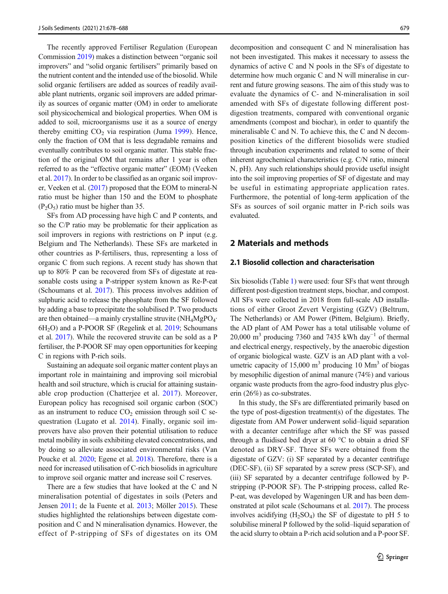<span id="page-1-0"></span>The recently approved Fertiliser Regulation (European Commission [2019](#page-9-0)) makes a distinction between "organic soil improvers" and "solid organic fertilisers" primarily based on the nutrient content and the intended use of the biosolid. While solid organic fertilisers are added as sources of readily available plant nutrients, organic soil improvers are added primarily as sources of organic matter (OM) in order to ameliorate soil physicochemical and biological properties. When OM is added to soil, microorganisms use it as a source of energy thereby emitting  $CO<sub>2</sub>$  via respiration (Juma [1999\)](#page-10-0). Hence, only the fraction of OM that is less degradable remains and eventually contributes to soil organic matter. This stable fraction of the original OM that remains after 1 year is often referred to as the "effective organic matter" (EOM) (Veeken et al. [2017\)](#page-10-0). In order to be classified as an organic soil improver, Veeken et al. [\(2017\)](#page-10-0) proposed that the EOM to mineral-N ratio must be higher than 150 and the EOM to phosphate  $(P_2O_5)$  ratio must be higher than 35.

SFs from AD processing have high C and P contents, and so the C/P ratio may be problematic for their application as soil improvers in regions with restrictions on P input (e.g. Belgium and The Netherlands). These SFs are marketed in other countries as P-fertilisers, thus, representing a loss of organic C from such regions. A recent study has shown that up to 80% P can be recovered from SFs of digestate at reasonable costs using a P-stripper system known as Re-P-eat (Schoumans et al. [2017](#page-10-0)). This process involves addition of sulphuric acid to release the phosphate from the SF followed by adding a base to precipitate the solubilised P. Two products are then obtained—a mainly crystalline struvite (NH<sub>4</sub>MgPO<sub>4</sub>·  $6H<sub>2</sub>O$ ) and a P-POOR SF (Regelink et al. [2019;](#page-10-0) Schoumans et al. [2017](#page-10-0)). While the recovered struvite can be sold as a P fertiliser, the P-POOR SF may open opportunities for keeping C in regions with P-rich soils.

Sustaining an adequate soil organic matter content plays an important role in maintaining and improving soil microbial health and soil structure, which is crucial for attaining sustainable crop production (Chatterjee et al. [2017\)](#page-9-0). Moreover, European policy has recognised soil organic carbon (SOC) as an instrument to reduce  $CO<sub>2</sub>$  emission through soil C sequestration (Lugato et al. [2014](#page-10-0)). Finally, organic soil improvers have also proven their potential utilisation to reduce metal mobility in soils exhibiting elevated concentrations, and by doing so alleviate associated environmental risks (Van Poucke et al. [2020](#page-10-0); Egene et al. [2018\)](#page-9-0). Therefore, there is a need for increased utilisation of C-rich biosolids in agriculture to improve soil organic matter and increase soil C reserves.

There are a few studies that have looked at the C and N mineralisation potential of digestates in soils (Peters and Jensen [2011;](#page-10-0) de la Fuente et al. [2013;](#page-9-0) Möller [2015\)](#page-10-0). These studies highlighted the relationships between digestate composition and C and N mineralisation dynamics. However, the effect of P-stripping of SFs of digestates on its OM decomposition and consequent C and N mineralisation has not been investigated. This makes it necessary to assess the dynamics of active C and N pools in the SFs of digestate to determine how much organic C and N will mineralise in current and future growing seasons. The aim of this study was to evaluate the dynamics of C- and N-mineralisation in soil amended with SFs of digestate following different postdigestion treatments, compared with conventional organic amendments (compost and biochar), in order to quantify the mineralisable C and N. To achieve this, the C and N decomposition kinetics of the different biosolids were studied through incubation experiments and related to some of their inherent agrochemical characteristics (e.g. C/N ratio, mineral N, pH). Any such relationships should provide useful insight into the soil improving properties of SF of digestate and may be useful in estimating appropriate application rates. Furthermore, the potential of long-term application of the SFs as sources of soil organic matter in P-rich soils was evaluated.

## 2 Materials and methods

## 2.1 Biosolid collection and characterisation

Six biosolids (Table [1](#page-2-0)) were used: four SFs that went through different post-digestion treatment steps, biochar, and compost. All SFs were collected in 2018 from full-scale AD installations of either Groot Zevert Vergisting (GZV) (Beltrum, The Netherlands) or AM Power (Pittem, Belgium). Briefly, the AD plant of AM Power has a total utilisable volume of 20,000 m<sup>3</sup> producing 7360 and 7435 kWh day<sup>-1</sup> of thermal and electrical energy, respectively, by the anaerobic digestion of organic biological waste. GZV is an AD plant with a volumetric capacity of 15,000  $m<sup>3</sup>$  producing 10 Mm<sup>3</sup> of biogas by mesophilic digestion of animal manure (74%) and various organic waste products from the agro-food industry plus glycerin (26%) as co-substrates.

In this study, the SFs are differentiated primarily based on the type of post-digestion treatment(s) of the digestates. The digestate from AM Power underwent solid–liquid separation with a decanter centrifuge after which the SF was passed through a fluidised bed dryer at 60 °C to obtain a dried SF denoted as DRY-SF. Three SFs were obtained from the digestate of GZV: (i) SF separated by a decanter centrifuge (DEC-SF), (ii) SF separated by a screw press (SCP-SF), and (iii) SF separated by a decanter centrifuge followed by Pstripping (P-POOR SF). The P-stripping process, called Re-P-eat, was developed by Wageningen UR and has been demonstrated at pilot scale (Schoumans et al. [2017\)](#page-10-0). The process involves acidifying  $(H_2SO_4)$  the SF of digestate to pH 5 to solubilise mineral P followed by the solid–liquid separation of the acid slurry to obtain a P-rich acid solution and a P-poor SF.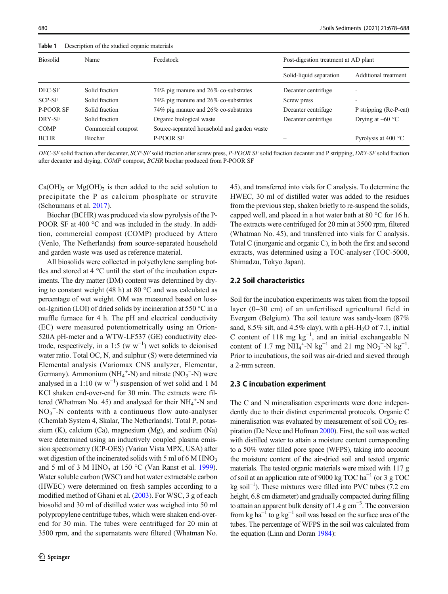<span id="page-2-0"></span>Table 1 Description of the studied organic materials

| <b>Biosolid</b>  | Name               | Feedstock                                   | Post-digestion treatment at AD plant |                              |  |  |
|------------------|--------------------|---------------------------------------------|--------------------------------------|------------------------------|--|--|
|                  |                    |                                             | Solid-liquid separation              | Additional treatment         |  |  |
| DEC-SF           | Solid fraction     | 74% pig manure and 26% co-substrates        | Decanter centrifuge                  | ۰                            |  |  |
| SCP-SF           | Solid fraction     | 74% pig manure and 26% co-substrates        | Screw press                          |                              |  |  |
| <b>P-POOR SF</b> | Solid fraction     | 74% pig manure and 26% co-substrates        | Decanter centrifuge                  | P stripping (Re-P-eat)       |  |  |
| DRY-SF           | Solid fraction     | Organic biological waste                    | Decanter centrifuge                  | Drying at $\sim 60$ °C       |  |  |
| <b>COMP</b>      | Commercial compost | Source-separated household and garden waste |                                      |                              |  |  |
| <b>BCHR</b>      | <b>Biochar</b>     | <b>P-POOR SF</b>                            |                                      | Pyrolysis at 400 $\degree$ C |  |  |

DEC-SF solid fraction after decanter, SCP-SF solid fraction after screw press, P-POOR SF solid fraction decanter and P stripping, DRY-SF solid fraction after decanter and drying, COMP compost, BCHR biochar produced from P-POOR SF

 $Ca(OH)_2$  or  $Mg(OH)_2$  is then added to the acid solution to precipitate the P as calcium phosphate or struvite (Schoumans et al. [2017\)](#page-10-0).

Biochar (BCHR) was produced via slow pyrolysis of the P-POOR SF at 400 °C and was included in the study. In addition, commercial compost (COMP) produced by Attero (Venlo, The Netherlands) from source-separated household and garden waste was used as reference material.

All biosolids were collected in polyethylene sampling bottles and stored at 4 °C until the start of the incubation experiments. The dry matter (DM) content was determined by drying to constant weight (48 h) at 80 °C and was calculated as percentage of wet weight. OM was measured based on losson-Ignition (LOI) of dried solids by incineration at 550 °C in a muffle furnace for 4 h. The pH and electrical conductivity (EC) were measured potentiometrically using an Orion-520A pH-meter and a WTW-LF537 (GE) conductivity electrode, respectively, in a 1:5 (w  $w^{-1}$ ) wet solids to deionised water ratio. Total OC, N, and sulphur (S) were determined via Elemental analysis (Variomax CNS analyzer, Elementar, Germany). Ammonium  $(NH_4^+N)$  and nitrate  $(NO_3^-N)$  were analysed in a 1:10 (w  $w^{-1}$ ) suspension of wet solid and 1 M KCl shaken end-over-end for 30 min. The extracts were filtered (Whatman No. 45) and analysed for their  $NH_4^+$ -N and  $NO<sub>3</sub><sup>-</sup>-N$  contents with a continuous flow auto-analyser (Chemlab System 4, Skalar, The Netherlands). Total P, potassium (K), calcium (Ca), magnesium (Mg), and sodium (Na) were determined using an inductively coupled plasma emission spectrometry (ICP-OES) (Varian Vista MPX, USA) after wet digestion of the incinerated solids with 5 ml of 6 M  $HNO<sub>3</sub>$ and 5 ml of 3 M HNO<sub>3</sub> at 150 °C (Van Ranst et al. [1999\)](#page-10-0). Water soluble carbon (WSC) and hot water extractable carbon (HWEC) were determined on fresh samples according to a modified method of Ghani et al. ([2003](#page-9-0)). For WSC, 3 g of each biosolid and 30 ml of distilled water was weighed into 50 ml polypropylene centrifuge tubes, which were shaken end-overend for 30 min. The tubes were centrifuged for 20 min at 3500 rpm, and the supernatants were filtered (Whatman No. 45), and transferred into vials for C analysis. To determine the HWEC, 30 ml of distilled water was added to the residues from the previous step, shaken briefly to re-suspend the solids, capped well, and placed in a hot water bath at 80 °C for 16 h. The extracts were centrifuged for 20 min at 3500 rpm, filtered (Whatman No. 45), and transferred into vials for C analysis. Total C (inorganic and organic C), in both the first and second extracts, was determined using a TOC-analyser (TOC-5000, Shimadzu, Tokyo Japan).

#### 2.2 Soil characteristics

Soil for the incubation experiments was taken from the topsoil layer (0–30 cm) of an unfertilised agricultural field in Evergem (Belgium). The soil texture was sandy-loam (87% sand, 8.5% silt, and 4.5% clay), with a pH-H<sub>2</sub>O of 7.1, initial C content of 118 mg  $kg^{-1}$ , and an initial exchangeable N content of 1.7 mg  $NH_4^+$ -N kg<sup>-1</sup> and 21 mg NO<sub>3</sub><sup>-</sup>-N kg<sup>-1</sup>. Prior to incubations, the soil was air-dried and sieved through a 2-mm screen.

### 2.3 C incubation experiment

The C and N mineralisation experiments were done independently due to their distinct experimental protocols. Organic C mineralisation was evaluated by measurement of soil  $CO<sub>2</sub>$  respiration (De Neve and Hofman [2000](#page-9-0)). First, the soil was wetted with distilled water to attain a moisture content corresponding to a 50% water filled pore space (WFPS), taking into account the moisture content of the air-dried soil and tested organic materials. The tested organic materials were mixed with 117 g of soil at an application rate of 9000 kg TOC ha<sup> $-1$ </sup> (or 3 g TOC kg soil−<sup>1</sup> ). These mixtures were filled into PVC tubes (7.2 cm height, 6.8 cm diameter) and gradually compacted during filling to attain an apparent bulk density of 1.4 g cm−<sup>3</sup> . The conversion from kg ha<sup> $-1$ </sup> to g kg<sup> $-1$ </sup> soil was based on the surface area of the tubes. The percentage of WFPS in the soil was calculated from the equation (Linn and Doran [1984](#page-10-0)):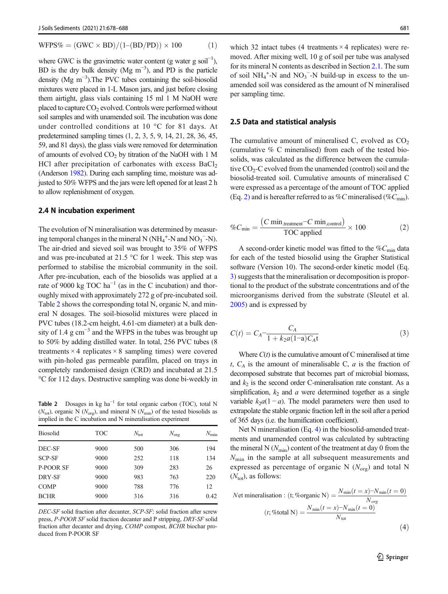<span id="page-3-0"></span>
$$
WFPS\% = (GWC \times BD)/(1-(BD/PD)) \times 100 \tag{1}
$$

where GWC is the gravimetric water content (g water g soil<sup>-1</sup>), BD is the dry bulk density (Mg  $m^{-3}$ ), and PD is the particle density (Mg m<sup>-3</sup>).The PVC tubes containing the soil-biosolid mixtures were placed in 1-L Mason jars, and just before closing them airtight, glass vials containing 15 ml 1 M NaOH were placed to capture  $CO<sub>2</sub>$  evolved. Controls were performed without soil samples and with unamended soil. The incubation was done under controlled conditions at 10 °C for 81 days. At predetermined sampling times (1, 2, 3, 5, 9, 14, 21, 28, 36, 45, 59, and 81 days), the glass vials were removed for determination of amounts of evolved  $CO<sub>2</sub>$  by titration of the NaOH with 1 M HCl after precipitation of carbonates with excess  $BaCl<sub>2</sub>$ (Anderson [1982\)](#page-9-0). During each sampling time, moisture was adjusted to 50% WFPS and the jars were left opened for at least 2 h to allow replenishment of oxygen.

#### 2.4 N incubation experiment

The evolution of N mineralisation was determined by measuring temporal changes in the mineral N  $(NH_4^+$ -N and  $NO_3^-$ -N). The air-dried and sieved soil was brought to 35% of WFPS and was pre-incubated at 21.5 °C for 1 week. This step was performed to stabilise the microbial community in the soil. After pre-incubation, each of the biosolids was applied at a rate of 9000 kg TOC  $ha^{-1}$  (as in the C incubation) and thoroughly mixed with approximately 272 g of pre-incubated soil. Table 2 shows the corresponding total N, organic N, and mineral N dosages. The soil-biosolid mixtures were placed in PVC tubes (18.2-cm height, 4.61-cm diameter) at a bulk density of 1.4  $\text{g cm}^{-3}$  and the WFPS in the tubes was brought up to 50% by adding distilled water. In total, 256 PVC tubes (8 treatments  $\times$  4 replicates  $\times$  8 sampling times) were covered with pin-holed gas permeable parafilm, placed on trays in completely randomised design (CRD) and incubated at 21.5 °C for 112 days. Destructive sampling was done bi-weekly in

Table 2 Dosages in kg ha<sup> $-1$ </sup> for total organic carbon (TOC), total N  $(N_{\text{tot}})$ , organic N  $(N_{\text{org}})$ , and mineral N  $(N_{\text{min}})$  of the tested biosolids as implied in the C incubation and N mineralisation experiment

| <b>Biosolid</b>  | <b>TOC</b> | $N_{\rm tot}$ | $N_{\text{org}}$ | $N_{\rm min}$ |
|------------------|------------|---------------|------------------|---------------|
| DEC-SF           | 9000       | 500           | 306              | 194           |
| <b>SCP-SF</b>    | 9000       | 252           | 118              | 134           |
| <b>P-POOR SF</b> | 9000       | 309           | 283              | 26            |
| DRY-SF           | 9000       | 983           | 763              | 220           |
| <b>COMP</b>      | 9000       | 788           | 776              | 12            |
| <b>BCHR</b>      | 9000       | 316           | 316              | 0.42          |
|                  |            |               |                  |               |

DEC-SF solid fraction after decanter, SCP-SF: solid fraction after screw press, P-POOR SF solid fraction decanter and P stripping, DRY-SF solid fraction after decanter and drying, COMP compost, BCHR biochar produced from P-POOR SF

which 32 intact tubes (4 treatments  $\times$  4 replicates) were removed. After mixing well, 10 g of soil per tube was analysed for its mineral N contents as described in Section [2.1](#page-1-0). The sum of soil  $NH_4^+$ -N and  $NO_3^-$ -N build-up in excess to the unamended soil was considered as the amount of N mineralised per sampling time.

#### 2.5 Data and statistical analysis

The cumulative amount of mineralised C, evolved as  $CO<sub>2</sub>$ (cumulative % C mineralised) from each of the tested biosolids, was calculated as the difference between the cumulative CO<sub>2</sub>-C evolved from the unamended (control) soil and the biosolid-treated soil. Cumulative amounts of mineralised C were expressed as a percentage of the amount of TOC applied (Eq. 2) and is hereafter referred to as %C mineralised (% $C_{\text{min}}$ ).

$$
\%C_{\min} = \frac{(C \min_{\text{,treatment}} - C \min_{\text{,control}})}{\text{TOC applied}} \times 100 \tag{2}
$$

A second-order kinetic model was fitted to the  $\%C_{\text{min}}$  data for each of the tested biosolid using the Grapher Statistical software (Version 10). The second-order kinetic model (Eq. 3) suggests that the mineralisation or decomposition is proportional to the product of the substrate concentrations and of the microorganisms derived from the substrate (Sleutel et al. [2005\)](#page-10-0) and is expressed by

$$
C(t) = C_A - \frac{C_A}{1 + k_2 a (1 - a) C_A t}
$$
 (3)

Where  $C(t)$  is the cumulative amount of C mineralised at time t,  $C_A$  is the amount of mineralisable C,  $a$  is the fraction of decomposed substrate that becomes part of microbial biomass, and  $k_2$  is the second order C-mineralisation rate constant. As a simplification,  $k_2$  and  $a$  were determined together as a single variable  $k_2a(1 - a)$ . The model parameters were then used to extrapolate the stable organic fraction left in the soil after a period of 365 days (i.e. the humification coefficient).

Net N mineralisation (Eq. 4) in the biosolid-amended treatments and unamended control was calculated by subtracting the mineral N  $(N_{\text{min}})$  content of the treatment at day 0 from the  $N_{\text{min}}$  in the sample at all subsequent measurements and expressed as percentage of organic N  $(N_{\text{org}})$  and total N  $(N_{\text{tot}})$ , as follows:

Net mineralisation : (t; %organic N) = 
$$
\frac{N_{\min}(t = x) - N_{\min}(t = 0)}{N_{org}}
$$

$$
(t; % total N) = \frac{N_{\min}(t = x) - N_{\min}(t = 0)}{N_{tot}}
$$
(4)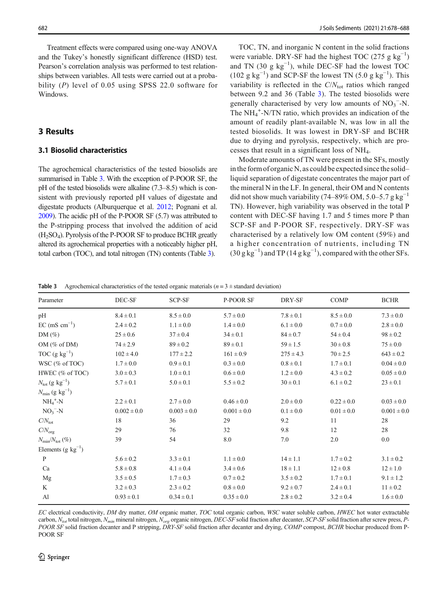<span id="page-4-0"></span>Treatment effects were compared using one-way ANOVA and the Tukey's honestly significant difference (HSD) test. Pearson's correlation analysis was performed to test relationships between variables. All tests were carried out at a probability (P) level of 0.05 using SPSS 22.0 software for Windows.

## 3 Results

## 3.1 Biosolid characteristics

The agrochemical characteristics of the tested biosolids are summarised in Table 3. With the exception of P-POOR SF, the pH of the tested biosolids were alkaline (7.3–8.5) which is consistent with previously reported pH values of digestate and digestate products (Alburquerque et al. [2012;](#page-9-0) Pognani et al. [2009\)](#page-10-0). The acidic pH of the P-POOR SF (5.7) was attributed to the P-stripping process that involved the addition of acid  $(H<sub>2</sub>SO<sub>4</sub>)$ . Pyrolysis of the P-POOR SF to produce BCHR greatly altered its agrochemical properties with a noticeably higher pH, total carbon (TOC), and total nitrogen (TN) contents (Table 3).

TOC, TN, and inorganic N content in the solid fractions were variable. DRY-SF had the highest TOC (275 g  $kg^{-1}$ ) and TN  $(30 \text{ g kg}^{-1})$ , while DEC-SF had the lowest TOC (102 g kg<sup>-1</sup>) and SCP-SF the lowest TN (5.0 g kg<sup>-1</sup>). This variability is reflected in the  $C/N<sub>tot</sub>$  ratios which ranged between 9.2 and 36 (Table 3). The tested biosolids were generally characterised by very low amounts of  $NO<sub>3</sub><sup>-</sup>-N$ . The NH<sub>4</sub><sup>+</sup>-N/TN ratio, which provides an indication of the amount of readily plant-available N, was low in all the tested biosolids. It was lowest in DRY-SF and BCHR due to drying and pyrolysis, respectively, which are processes that result in a significant loss of NH4.

Moderate amounts of TN were present in the SFs, mostly in the form of organic N, as could be expected since the solid– liquid separation of digestate concentrates the major part of the mineral N in the LF. In general, their OM and N contents did not show much variability (74–89% OM, 5.0–5.7 g kg<sup>-1</sup> TN). However, high variability was observed in the total P content with DEC-SF having 1.7 and 5 times more P than SCP-SF and P-POOR SF, respectively. DRY-SF was characterised by a relatively low OM content (59%) and a higher concentration of nutrients, including TN  $(30 \text{ g kg}^{-1})$  and TP  $(14 \text{ g kg}^{-1})$ , compared with the other SFs.

**Table 3** Agrochemical characteristics of the tested organic materials ( $n = 3 \pm$  standard deviation)

| Parameter                              | DEC-SF          | SCP-SF          | <b>P-POOR SF</b> | DRY-SF        | <b>COMP</b>    | <b>BCHR</b>     |
|----------------------------------------|-----------------|-----------------|------------------|---------------|----------------|-----------------|
| pH                                     | $8.4 \pm 0.1$   | $8.5 \pm 0.0$   | $5.7 \pm 0.0$    | $7.8 \pm 0.1$ | $8.5 \pm 0.0$  | $7.3 \pm 0.0$   |
| $EC \text{ (mS cm}^{-1})$              | $2.4 \pm 0.2$   | $1.1 \pm 0.0$   | $1.4 \pm 0.0$    | $6.1 \pm 0.0$ | $0.7 \pm 0.0$  | $2.8 \pm 0.0$   |
| $DM(\%)$                               | $25 \pm 0.6$    | $37 \pm 0.4$    | $34 \pm 0.1$     | $84 \pm 0.7$  | $54 \pm 0.4$   | $98 \pm 0.2$    |
| OM $(\%$ of DM)                        | $74 \pm 2.9$    | $89 \pm 0.2$    | $89 \pm 0.1$     | $59 \pm 1.5$  | $30 \pm 0.8$   | $75 \pm 0.0$    |
| TOC $(g \text{ kg}^{-1})$              | $102 \pm 4.0$   | $177 \pm 2.2$   | $161 \pm 0.9$    | $275 \pm 4.3$ | $70 \pm 2.5$   | $643 \pm 0.2$   |
| WSC (% of TOC)                         | $1.7 \pm 0.0$   | $0.9 \pm 0.1$   | $0.3 \pm 0.0$    | $0.8 \pm 0.1$ | $1.7 \pm 0.1$  | $0.04 \pm 0.0$  |
| HWEC (% of TOC)                        | $3.0 \pm 0.3$   | $1.0 \pm 0.1$   | $0.6 \pm 0.0$    | $1.2 \pm 0.0$ | $4.3 \pm 0.2$  | $0.05 \pm 0.0$  |
| $N_{\rm tot}$ (g kg <sup>-1</sup> )    | $5.7 \pm 0.1$   | $5.0 \pm 0.1$   | $5.5 \pm 0.2$    | $30 \pm 0.1$  | $6.1 \pm 0.2$  | $23 \pm 0.1$    |
| $N_{\text{min}}$ (g kg <sup>-1</sup> ) |                 |                 |                  |               |                |                 |
| $NH_4^+$ -N                            | $2.2 \pm 0.1$   | $2.7 \pm 0.0$   | $0.46 \pm 0.0$   | $2.0 \pm 0.0$ | $0.22 \pm 0.0$ | $0.03 \pm 0.0$  |
| $NO3-N$                                | $0.002 \pm 0.0$ | $0.003 \pm 0.0$ | $0.001 \pm 0.0$  | $0.1 \pm 0.0$ | $0.01 \pm 0.0$ | $0.001 \pm 0.0$ |
| $C/N_{\rm tot}$                        | 18              | 36              | 29               | 9.2           | 11             | 28              |
| $C/N_{org}$                            | 29              | 76              | 32               | 9.8           | 12             | 28              |
| $N_{\text{min}}/N_{\text{tot}}$ (%)    | 39              | 54              | 8.0              | 7.0           | 2.0            | 0.0             |
| Elements (g $kg^{-1}$ )                |                 |                 |                  |               |                |                 |
| $\mathbf{P}$                           | $5.6 \pm 0.2$   | $3.3 \pm 0.1$   | $1.1 \pm 0.0$    | $14 \pm 1.1$  | $1.7 \pm 0.2$  | $3.1 \pm 0.2$   |
| Ca                                     | $5.8 \pm 0.8$   | $4.1 \pm 0.4$   | $3.4 \pm 0.6$    | $18 \pm 1.1$  | $12 \pm 0.8$   | $12 \pm 1.0$    |
| Mg                                     | $3.5 \pm 0.5$   | $1.7 \pm 0.3$   | $0.7 \pm 0.2$    | $3.5 \pm 0.2$ | $1.7 \pm 0.1$  | $9.1 \pm 1.2$   |
| K                                      | $3.2 \pm 0.3$   | $2.3 \pm 0.2$   | $0.8 \pm 0.0$    | $9.2 \pm 0.7$ | $2.4 \pm 0.1$  | $11 \pm 0.2$    |
| AI                                     | $0.93 \pm 0.1$  | $0.34 \pm 0.1$  | $0.35 \pm 0.0$   | $2.8 \pm 0.2$ | $3.2 \pm 0.4$  | $1.6 \pm 0.0$   |
|                                        |                 |                 |                  |               |                |                 |

EC electrical conductivity, DM dry matter, OM organic matter, TOC total organic carbon, WSC water soluble carbon, HWEC hot water extractable carbon,  $N_{tot}$  total nitrogen,  $N_{min}$  mineral nitrogen,  $N_{org}$  organic nitrogen, DEC-SF solid fraction after decanter, SCP-SF solid fraction after screw press, P-POOR SF solid fraction decanter and P stripping, DRY-SF solid fraction after decanter and drying, COMP compost, BCHR biochar produced from P-POOR SF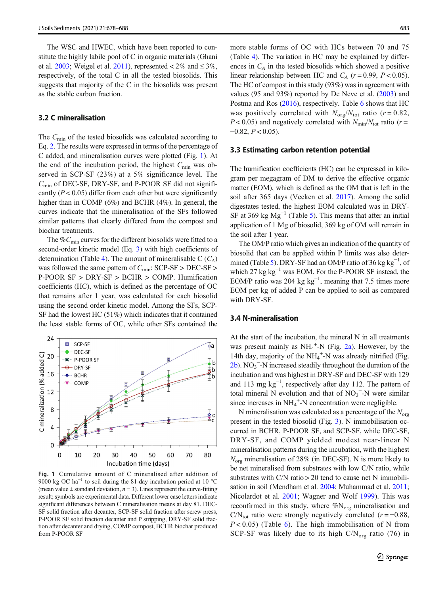<span id="page-5-0"></span>The WSC and HWEC, which have been reported to constitute the highly labile pool of C in organic materials (Ghani et al. [2003;](#page-9-0) Weigel et al. [2011](#page-10-0)), represented  $\lt 2\%$  and  $\leq 3\%$ , respectively, of the total C in all the tested biosolids. This suggests that majority of the C in the biosolids was present as the stable carbon fraction.

#### 3.2 C mineralisation

The  $C_{\text{min}}$  of the tested biosolids was calculated according to Eq. [2](#page-3-0). The results were expressed in terms of the percentage of C added, and mineralisation curves were plotted (Fig. 1). At the end of the incubation period, the highest  $C_{\text{min}}$  was observed in SCP-SF (23%) at a 5% significance level. The  $C_{\text{min}}$  of DEC-SF, DRY-SF, and P-POOR SF did not significantly ( $P < 0.05$ ) differ from each other but were significantly higher than in COMP (6%) and BCHR (4%). In general, the curves indicate that the mineralisation of the SFs followed similar patterns that clearly differed from the compost and biochar treatments.

The  $\%C_{\text{min}}$  curves for the different biosolids were fitted to a second-order kinetic model (Eq. [3\)](#page-3-0) with high coefficients of determination (Table [4\)](#page-6-0). The amount of mineralisable C  $(C_A)$ was followed the same pattern of  $C_{\text{min}}$ : SCP-SF > DEC-SF > P-POOR SF > DRY-SF > BCHR > COMP. Humification coefficients (HC), which is defined as the percentage of OC that remains after 1 year, was calculated for each biosolid using the second order kinetic model. Among the SFs, SCP-SF had the lowest HC (51%) which indicates that it contained the least stable forms of OC, while other SFs contained the



Fig. 1 Cumulative amount of C mineralised after addition of 9000 kg OC ha<sup>-1</sup> to soil during the 81-day incubation period at 10 °C (mean value  $\pm$  standard deviation,  $n = 3$ ). Lines represent the curve-fitting result; symbols are experimental data. Different lower case letters indicate significant differences between C mineralisation means at day 81. DEC-SF solid fraction after decanter, SCP-SF solid fraction after screw press, P-POOR SF solid fraction decanter and P stripping, DRY-SF solid fraction after decanter and drying, COMP compost, BCHR biochar produced from P-POOR SF

more stable forms of OC with HCs between 70 and 75 (Table [4\)](#page-6-0). The variation in HC may be explained by differences in  $C_A$  in the tested biosolids which showed a positive linear relationship between HC and  $C_A$  ( $r = 0.99$ ,  $P < 0.05$ ). The HC of compost in this study (93%) was in agreement with values (95 and 93%) reported by De Neve et al. [\(2003\)](#page-9-0) and Postma and Ros [\(2016\)](#page-10-0), respectively. Table [6](#page-8-0) shows that HC was positively correlated with  $N_{\text{org}}/N_{\text{tot}}$  ratio (r = 0.82,  $P < 0.05$ ) and negatively correlated with  $N_{\text{min}}/N_{\text{tot}}$  ratio (r =  $-0.82, P < 0.05$ ).

#### 3.3 Estimating carbon retention potential

The humification coefficients (HC) can be expressed in kilogram per megagram of DM to derive the effective organic matter (EOM), which is defined as the OM that is left in the soil after 365 days (Veeken et al. [2017\)](#page-10-0). Among the solid digestates tested, the highest EOM calculated was in DRY-SF at 369 kg  $Mg^{-1}$  (Table [5\)](#page-6-0). This means that after an initial application of 1 Mg of biosolid, 369 kg of OM will remain in the soil after 1 year.

The OM/P ratio which gives an indication of the quantity of biosolid that can be applied within P limits was also deter-mined (Table [5](#page-6-0)). DRY-SF had an OM/P ratio of 36 kg  $kg^{-1}$ , of which 27 kg  $kg^{-1}$  was EOM. For the P-POOR SF instead, the EOM/P ratio was 204 kg  $kg^{-1}$ , meaning that 7.5 times more EOM per kg of added P can be applied to soil as compared with DRY-SF.

#### 3.4 N-mineralisation

At the start of the incubation, the mineral N in all treatments was present mainly as  $NH_4^+$ -N (Fig. [2a](#page-7-0)). However, by the 14th day, majority of the NH<sub>4</sub><sup>+</sup>-N was already nitrified (Fig.  $2b$ ). NO<sub>3</sub><sup>-</sup>-N increased steadily throughout the duration of the incubation and was highest in DRY-SF and DEC-SF with 129 and 113 mg  $kg^{-1}$ , respectively after day 112. The pattern of total mineral N evolution and that of  $NO<sub>3</sub><sup>-</sup>-N$  were similar since increases in NH<sub>4</sub><sup>+</sup>-N concentration were negligible.

N mineralisation was calculated as a percentage of the  $N_{\text{org}}$ present in the tested biosolid (Fig. [3\)](#page-8-0). N immobilisation occurred in BCHR, P-POOR SF, and SCP-SF, while DEC-SF, DRY-SF, and COMP yielded modest near-linear N mineralisation patterns during the incubation, with the highest  $N_{\text{org}}$  mineralisation of 28% (in DEC-SF). N is more likely to be net mineralised from substrates with low C/N ratio, while substrates with  $C/N$  ratio  $> 20$  tend to cause net N immobilisation in soil (Mendham et al. [2004](#page-10-0); Muhammad et al. [2011;](#page-10-0) Nicolardot et al. [2001](#page-10-0); Wagner and Wolf [1999](#page-10-0)). This was reconfirmed in this study, where  $\%\mathrm{N}_{\mathrm{org}}$  mineralisation and C/N<sub>tot</sub> ratio were strongly negatively correlated ( $r = -0.88$ ,  $P < 0.05$ ) (Table [6](#page-8-0)). The high immobilisation of N from SCP-SF was likely due to its high  $C/N_{org}$  ratio (76) in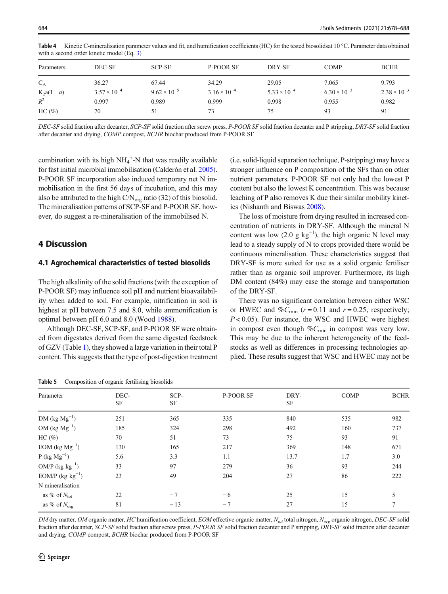| Parameters  | DEC-SF                | SCP-SF                | P-POOR SF             | DRY-SF                | <b>COMP</b>           | <b>BCHR</b>           |
|-------------|-----------------------|-----------------------|-----------------------|-----------------------|-----------------------|-----------------------|
| $C_A$       | 36.27                 | 67.44                 | 34.29                 | 29.05                 | 7.065                 | 9.793                 |
| $K_2a(1-a)$ | $3.57 \times 10^{-4}$ | $9.62 \times 10^{-5}$ | $3.16 \times 10^{-4}$ | $5.33 \times 10^{-4}$ | $6.30 \times 10^{-3}$ | $2.38 \times 10^{-3}$ |
| $R^2$       | 0.997                 | 0.989                 | 0.999                 | 0.998                 | 0.955                 | 0.982                 |
| HC(%)       | 70                    | 51                    | 73                    | 75                    | 93                    | 91                    |

<span id="page-6-0"></span>Table 4 Kinetic C-mineralisation parameter values and fit, and humification coefficients (HC) for the tested biosolidsat 10 °C. Parameter data obtained with a second order kinetic model (Eq. [3\)](#page-3-0)

DEC-SF solid fraction after decanter, SCP-SF solid fraction after screw press, P-POOR SF solid fraction decanter and P stripping, DRY-SF solid fraction after decanter and drying, COMP compost, BCHR biochar produced from P-POOR SF

combination with its high  $NH_4^+$ -N that was readily available for fast initial microbial immobilisation (Calderón et al. [2005\)](#page-9-0). P-POOR SF incorporation also induced temporary net N immobilisation in the first 56 days of incubation, and this may also be attributed to the high C/N<sub>org</sub> ratio (32) of this biosolid. The mineralisation patterns of SCP-SF and P-POOR SF, however, do suggest a re-mineralisation of the immobilised N.

## 4 Discussion

### 4.1 Agrochemical characteristics of tested biosolids

The high alkalinity of the solid fractions (with the exception of P-POOR SF) may influence soil pH and nutrient bioavailability when added to soil. For example, nitrification in soil is highest at pH between 7.5 and 8.0, while ammonification is optimal between pH 6.0 and 8.0 (Wood [1988\)](#page-10-0).

Although DEC-SF, SCP-SF, and P-POOR SF were obtained from digestates derived from the same digested feedstock of GZV (Table [1\)](#page-2-0), they showed a large variation in their total P content. This suggests that the type of post-digestion treatment (i.e. solid-liquid separation technique, P-stripping) may have a stronger influence on P composition of the SFs than on other nutrient parameters. P-POOR SF not only had the lowest P content but also the lowest K concentration. This was because leaching of P also removes K due their similar mobility kinetics (Nishanth and Biswas [2008](#page-10-0)).

The loss of moisture from drying resulted in increased concentration of nutrients in DRY-SF. Although the mineral N content was low  $(2.0 \text{ g kg}^{-1})$ , the high organic N level may lead to a steady supply of N to crops provided there would be continuous mineralisation. These characteristics suggest that DRY-SF is more suited for use as a solid organic fertiliser rather than as organic soil improver. Furthermore, its high DM content (84%) may ease the storage and transportation of the DRY-SF.

There was no significant correlation between either WSC or HWEC and % $C_{\text{min}}$  ( $r = 0.11$  and  $r = 0.25$ , respectively;  $P < 0.05$ ). For instance, the WSC and HWEC were highest in compost even though  $\%C_{\text{min}}$  in compost was very low. This may be due to the inherent heterogeneity of the feedstocks as well as differences in processing technologies applied. These results suggest that WSC and HWEC may not be

| Parameter                 | DEC-<br><b>SF</b> | SCP-<br><b>SF</b> | P-POOR SF | DRY-<br><b>SF</b> | <b>COMP</b> | <b>BCHR</b> |
|---------------------------|-------------------|-------------------|-----------|-------------------|-------------|-------------|
| $DM (kg Mg-1)$            | 251               | 365               | 335       | 840               | 535         | 982         |
| OM $(\text{kg Mg}^{-1})$  | 185               | 324               | 298       | 492               | 160         | 737         |
| HC(%)                     | 70                | 51                | 73        | 75                | 93          | 91          |
| EOM $(\text{kg Mg}^{-1})$ | 130               | 165               | 217       | 369               | 148         | 671         |
| $P$ (kg $Mg^{-1}$ )       | 5.6               | 3.3               | 1.1       | 13.7              | 1.7         | 3.0         |
| OM/P $(kg kg^{-1})$       | 33                | 97                | 279       | 36                | 93          | 244         |
| EOM/P $(kg kg^{-1})$      | 23                | 49                | 204       | 27                | 86          | 222         |
| N mineralisation          |                   |                   |           |                   |             |             |
| as % of $N_{\text{tot}}$  | 22                | $-7$              | $-6$      | 25                | 15          |             |
| as % of $N_{org}$         | 81                | $-13$             | $-7$      | 27                | 15          |             |

Table 5 Composition of organic fertilising biosolids

DM dry matter, OM organic matter, HC humification coefficient, EOM effective organic matter,  $N_{tot}$  total nitrogen,  $N_{org}$  organic nitrogen, DEC-SF solid fraction after decanter, SCP-SF solid fraction after screw press, P-POOR SF solid fraction decanter and P stripping, DRY-SF solid fraction after decanter and drying, COMP compost, BCHR biochar produced from P-POOR SF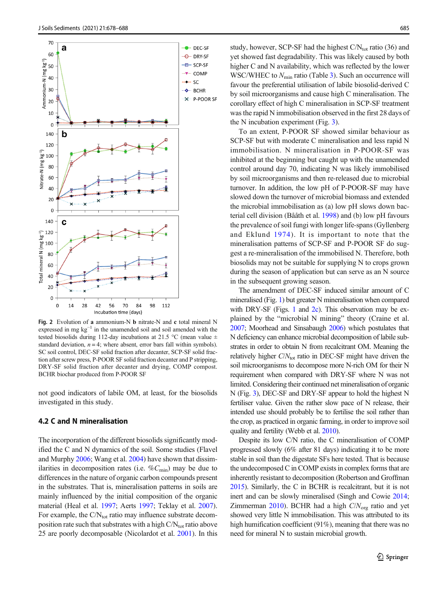<span id="page-7-0"></span>

Fig. 2 Evolution of a ammonium-N b nitrate-N and c total mineral N expressed in mg  $kg^{-1}$  in the unamended soil and soil amended with the tested biosolids during 112-day incubations at 21.5 °C (mean value  $\pm$ standard deviation,  $n = 4$ ; where absent, error bars fall within symbols). SC soil control, DEC-SF solid fraction after decanter, SCP-SF solid fraction after screw press, P-POOR SF solid fraction decanter and P stripping, DRY-SF solid fraction after decanter and drying, COMP compost. BCHR biochar produced from P-POOR SF

not good indicators of labile OM, at least, for the biosolids investigated in this study.

### 4.2 C and N mineralisation

The incorporation of the different biosolids significantly modified the C and N dynamics of the soil. Some studies (Flavel and Murphy [2006](#page-9-0); Wang et al. [2004\)](#page-10-0) have shown that dissimilarities in decomposition rates (i.e.  $\%C_{\text{min}}$ ) may be due to differences in the nature of organic carbon compounds present in the substrates. That is, mineralisation patterns in soils are mainly influenced by the initial composition of the organic material (Heal et al. [1997;](#page-9-0) Aerts [1997;](#page-9-0) Teklay et al. [2007\)](#page-10-0). For example, the  $CN_{tot}$  ratio may influence substrate decomposition rate such that substrates with a high  $CN_{tot}$  ratio above 25 are poorly decomposable (Nicolardot et al. [2001](#page-10-0)). In this

study, however, SCP-SF had the highest  $C/N<sub>tot</sub>$  ratio (36) and yet showed fast degradability. This was likely caused by both higher C and N availability, which was reflected by the lower WSC/WHEC to  $N_{\text{min}}$  ratio (Table [3](#page-4-0)). Such an occurrence will favour the preferential utilisation of labile biosolid-derived C by soil microorganisms and cause high C mineralisation. The corollary effect of high C mineralisation in SCP-SF treatment was the rapid N immobilisation observed in the first 28 days of the N incubation experiment (Fig. [3\)](#page-8-0).

To an extent, P-POOR SF showed similar behaviour as SCP-SF but with moderate C mineralisation and less rapid N immobilisation. N mineralisation in P-POOR-SF was inhibited at the beginning but caught up with the unamended control around day 70, indicating N was likely immobilised by soil microorganisms and then re-released due to microbial turnover. In addition, the low pH of P-POOR-SF may have slowed down the turnover of microbial biomass and extended the microbial immobilisation as (a) low pH slows down bacterial cell division (Bååth et al. [1998](#page-9-0)) and (b) low pH favours the prevalence of soil fungi with longer life-spans (Gyllenberg and Eklund [1974\)](#page-9-0). It is important to note that the mineralisation patterns of SCP-SF and P-POOR SF do suggest a re-mineralisation of the immobilised N. Therefore, both biosolids may not be suitable for supplying N to crops grown during the season of application but can serve as an N source in the subsequent growing season.

The amendment of DEC-SF induced similar amount of C mineralised (Fig. [1](#page-5-0)) but greater N mineralisation when compared with DRY-SF (Figs. [1](#page-5-0) and 2c). This observation may be explained by the "microbial N mining" theory (Craine et al. [2007](#page-9-0); Moorhead and Sinsabaugh [2006](#page-10-0)) which postulates that N deficiency can enhance microbial decomposition of labile substrates in order to obtain N from recalcitrant OM. Meaning the relatively higher  $C/N<sub>tot</sub>$  ratio in DEC-SF might have driven the soil microorganisms to decompose more N-rich OM for their N requirement when compared with DRY-SF where N was not limited. Considering their continued net mineralisation of organic N (Fig. [3\)](#page-8-0), DEC-SF and DRY-SF appear to hold the highest N fertiliser value. Given the rather slow pace of N release, their intended use should probably be to fertilise the soil rather than the crop, as practiced in organic farming, in order to improve soil quality and fertility (Webb et al. [2010](#page-10-0)).

Despite its low C/N ratio, the C mineralisation of COMP progressed slowly (6% after 81 days) indicating it to be more stable in soil than the digestate SFs here tested. That is because the undecomposed C in COMP exists in complex forms that are inherently resistant to decomposition (Robertson and Groffman [2015](#page-10-0)). Similarly, the C in BCHR is recalcitrant, but it is not inert and can be slowly mineralised (Singh and Cowie [2014;](#page-10-0) Zimmerman [2010](#page-10-0)). BCHR had a high  $C/N_{org}$  ratio and yet showed very little N immobilisation. This was attributed to its high humification coefficient (91%), meaning that there was no need for mineral N to sustain microbial growth.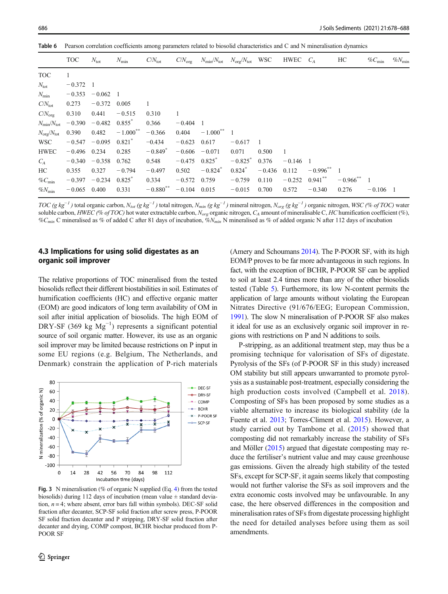|                                 | <b>TOC</b> | $N_{\rm tot}$ | $N_{\rm min}$   | $C/N_{\rm tot}$       | $C/N_{\text{org}}$ | $N_{\text{min}}/N_{\text{tot}}$ $N_{\text{org}}/N_{\text{tot}}$ WSC |            |                | HWEC $C_A$ |                          | HС                       | $\%C_{\min}$ | $\%N_{\text{mir}}$ |
|---------------------------------|------------|---------------|-----------------|-----------------------|--------------------|---------------------------------------------------------------------|------------|----------------|------------|--------------------------|--------------------------|--------------|--------------------|
| <b>TOC</b>                      | 1          |               |                 |                       |                    |                                                                     |            |                |            |                          |                          |              |                    |
| $N_{\rm tot}$                   | $-0.372$   | -1            |                 |                       |                    |                                                                     |            |                |            |                          |                          |              |                    |
| $N_{\rm min}$                   | $-0.353$   | $-0.062$      | - 1             |                       |                    |                                                                     |            |                |            |                          |                          |              |                    |
| $C/N_{\rm tot}$                 | 0.273      | $-0.372$      | 0.005           | 1                     |                    |                                                                     |            |                |            |                          |                          |              |                    |
| $C/N_{\text{org}}$              | 0.310      | 0.441         | $-0.515$        | 0.310                 | 1                  |                                                                     |            |                |            |                          |                          |              |                    |
| $N_{\text{min}}/N_{\text{tot}}$ | $-0.390$   | $-0.482$      | $0.855^{\circ}$ | 0.366                 | $-0.404$           | -1                                                                  |            |                |            |                          |                          |              |                    |
| $N_{\rm org}/N_{\rm tot}$       | 0.390      | 0.482         | $-1.000***$     | $-0.366$              | 0.404              | $-1.000^{***}$ 1                                                    |            |                |            |                          |                          |              |                    |
| WSC                             | $-0.547$   | $-0.095$      | 0.821           | $-0.434$              | $-0.623$           | 0.617                                                               | $-0.617$   | $\overline{1}$ |            |                          |                          |              |                    |
| <b>HWEC</b>                     | $-0.496$   | 0.234         | 0.285           | $-0.849$ <sup>*</sup> | $-0.606$           | $-0.071$                                                            | 0.071      | 0.500          | -1         |                          |                          |              |                    |
| $C_A$                           | $-0.340$   | $-0.358$      | 0.762           | 0.548                 | $-0.475$           | 0.825                                                               | $-0.825^*$ | 0.376          | $-0.146$ 1 |                          |                          |              |                    |
| HC                              | 0.355      | 0.327         | $-0.794$        | $-0.497$              | 0.502              | $-0.824$ <sup>*</sup>                                               | 0.824      | $-0.436$       | 0.112      | $-0.996$ <sup>**</sup> 1 |                          |              |                    |
| $\%C_{\min}$                    | $-0.397$   | $-0.234$      | $0.825^{\circ}$ | 0.334                 | $-0.572$           | 0.759                                                               | $-0.759$   | 0.110          | $-0.252$   | $0.941***$               | $-0.966$ <sup>**</sup> 1 |              |                    |
| $\%N_{\text{min}}$              | $-0.065$   | 0.400         | 0.331           | $-0.880^{**}$         | $-0.104$           | 0.015                                                               | $-0.015$   | 0.700          | 0.572      | $-0.340$                 | 0.276                    | $-0.106$ 1   |                    |

<span id="page-8-0"></span>Table 6 Pearson correlation coefficients among parameters related to biosolid characteristics and C and N mineralisation dynamics

TOC (g kg<sup>-1</sup>) total organic carbon, N<sub>tot</sub> (g kg<sup>-1</sup>) total nitrogen, N<sub>min</sub> (g kg<sup>-1</sup>) mineral nitrogen, N<sub>org</sub> (g kg<sup>-1</sup>) organic nitrogen, WSC (% of TOC) water soluble carbon, HWEC (% of TOC) hot water extractable carbon,  $N_{org}$  organic nitrogen,  $C_A$  amount of mineralisable C, HC humification coefficient (%), % $C_{min}$  C mineralised as % of added C after 81 days of incubation,  $\breve{\phi}N_{min}$  N mineralised as % of added organic N after 112 days of incubation

## 4.3 Implications for using solid digestates as an organic soil improver

The relative proportions of TOC mineralised from the tested biosolids reflect their different biostabilities in soil. Estimates of humification coefficients (HC) and effective organic matter (EOM) are good indicators of long term availability of OM in soil after initial application of biosolids. The high EOM of DRY-SF (369 kg Mg<sup>-1</sup>) represents a significant potential source of soil organic matter. However, its use as an organic soil improver may be limited because restrictions on P input in some EU regions (e.g. Belgium, The Netherlands, and Denmark) constrain the application of P-rich materials



Fig. 3 N mineralisation (% of organic N supplied (Eq. [4\)](#page-3-0) from the tested biosolids) during 112 days of incubation (mean value  $\pm$  standard deviation,  $n = 4$ ; where absent, error bars fall within symbols). DEC-SF solid fraction after decanter, SCP-SF solid fraction after screw press, P-POOR SF solid fraction decanter and P stripping, DRY-SF solid fraction after decanter and drying, COMP compost, BCHR biochar produced from P-POOR SF

(Amery and Schoumans [2014\)](#page-9-0). The P-POOR SF, with its high EOM/P proves to be far more advantageous in such regions. In fact, with the exception of BCHR, P-POOR SF can be applied to soil at least 2.4 times more than any of the other biosolids tested (Table [5](#page-6-0)). Furthermore, its low N-content permits the application of large amounts without violating the European Nitrates Directive (91/676/EEG; European Commission, [1991](#page-9-0)). The slow N mineralisation of P-POOR SF also makes it ideal for use as an exclusively organic soil improver in regions with restrictions on P and N additions to soils.

P-stripping, as an additional treatment step, may thus be a promising technique for valorisation of SFs of digestate. Pyrolysis of the SFs (of P-POOR SF in this study) increased OM stability but still appears unwarranted to promote pyrolysis as a sustainable post-treatment, especially considering the high production costs involved (Campbell et al. [2018](#page-9-0)). Composting of SFs has been proposed by some studies as a viable alternative to increase its biological stability (de la Fuente et al. [2013](#page-9-0); Torres-Climent et al. [2015\)](#page-10-0). However, a study carried out by Tambone et al. [\(2015\)](#page-10-0) showed that composting did not remarkably increase the stability of SFs and Möller ([2015](#page-10-0)) argued that digestate composting may reduce the fertiliser's nutrient value and may cause greenhouse gas emissions. Given the already high stability of the tested SFs, except for SCP-SF, it again seems likely that composting would not further valorise the SFs as soil improvers and the extra economic costs involved may be unfavourable. In any case, the here observed differences in the composition and mineralisation rates of SFs from digestate processing highlight the need for detailed analyses before using them as soil amendments.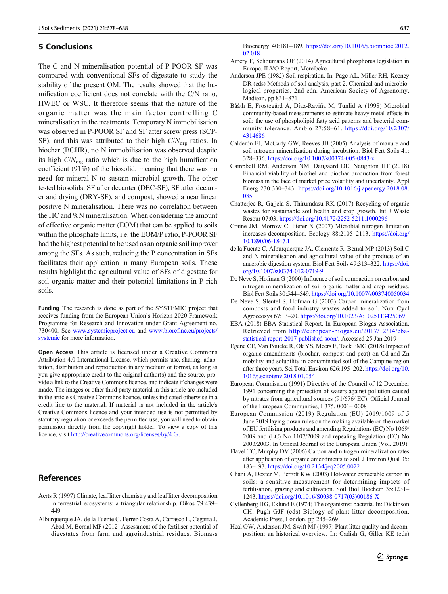## <span id="page-9-0"></span>5 Conclusions

The C and N mineralisation potential of P-POOR SF was compared with conventional SFs of digestate to study the stability of the present OM. The results showed that the humification coefficient does not correlate with the C/N ratio, HWEC or WSC. It therefore seems that the nature of the organic matter was the main factor controlling C mineralisation in the treatments. Temporary N immobilisation was observed in P-POOR SF and SF after screw press (SCP-SF), and this was attributed to their high  $C/N_{\text{org}}$  ratios. In biochar (BCHR), no N immobilisation was observed despite its high  $C/N_{\text{org}}$  ratio which is due to the high humification coefficient (91%) of the biosolid, meaning that there was no need for mineral N to sustain microbial growth. The other tested biosolids, SF after decanter (DEC-SF), SF after decanter and drying (DRY-SF), and compost, showed a near linear positive N mineralisation. There was no correlation between the HC and %N mineralisation. When considering the amount of effective organic matter (EOM) that can be applied to soils within the phosphate limits, i.e. the EOM/P ratio, P-POOR SF had the highest potential to be used as an organic soil improver among the SFs. As such, reducing the P concentration in SFs facilitates their application in many European soils. These results highlight the agricultural value of SFs of digestate for soil organic matter and their potential limitations in P-rich soils.

Funding The research is done as part of the SYSTEMIC project that receives funding from the European Union's Horizon 2020 Framework Programme for Research and Innovation under Grant Agreement no. 730400. See [www.systemicproject.eu](http://www.systemicproject.eu) and [www.biorefine.eu/projects/](http://www.biorefine.eu/projects/systemic) [systemic](http://www.biorefine.eu/projects/systemic) for more information.

Open Access This article is licensed under a Creative Commons Attribution 4.0 International License, which permits use, sharing, adaptation, distribution and reproduction in any medium or format, as long as you give appropriate credit to the original author(s) and the source, provide a link to the Creative Commons licence, and indicate if changes were made. The images or other third party material in this article are included in the article's Creative Commons licence, unless indicated otherwise in a credit line to the material. If material is not included in the article's Creative Commons licence and your intended use is not permitted by statutory regulation or exceeds the permitted use, you will need to obtain permission directly from the copyright holder. To view a copy of this licence, visit [http://creativecommons.org/licenses/by/4.0/](http://www.systemicproject.eu).

## **References**

- Aerts R (1997) Climate, leaf litter chemistry and leaf litter decomposition in terrestrial ecosystems: a triangular relationship. Oikos 79:439– 449
- Alburquerque JA, de la Fuente C, Ferrer-Costa A, Carrasco L, Cegarra J, Abad M, Bernal MP (2012) Assessment of the fertiliser potential of digestates from farm and agroindustrial residues. Biomass

Bioenergy 40:181–189. [https://doi.org/10.1016/j.biombioe.2012.](https://doi.org/10.1016/j.biombioe.2012.02.018) [02.018](https://doi.org/10.1016/j.biombioe.2012.02.018)

- Amery F, Schoumans OF (2014) Agricultural phosphorus legislation in Europe. ILVO Report, Merelbeke.
- Anderson JPE (1982) Soil respiration. In: Page AL, Miller RH, Keeney DR (eds) Methods of soil analysis, part 2. Chemical and microbiological properties, 2nd edn. American Society of Agronomy, Madison, pp 831–871
- Bååth E, Frostegård Å, Díaz-Raviña M, Tunlid A (1998) Microbial community-based measurements to estimate heavy metal effects in soil: the use of phospholipid fatty acid patterns and bacterial community tolerance. Ambio 27:58–61. [https://doi.org/10.2307/](https://doi.org/10.2307/4314686) [4314686](https://doi.org/10.2307/4314686)
- Calderón FJ, McCarty GW, Reeves JB (2005) Analysis of manure and soil nitrogen mineralization during incubation. Biol Fert Soils 41: 328–336. <https://doi.org/10.1007/s00374-005-0843-x>
- Campbell RM, Anderson NM, Daugaard DE, Naughton HT (2018) Financial viability of biofuel and biochar production from forest biomass in the face of market price volatility and uncertainty. Appl Energ 230:330–343. [https://doi.org/10.1016/j.apenergy.2018.08.](https://doi.org/10.1016/j.apenergy.2018.08.085) [085](https://doi.org/10.1016/j.apenergy.2018.08.085)
- Chatterjee R, Gajjela S, Thirumdasu RK (2017) Recycling of organic wastes for sustainable soil health and crop growth. Int J Waste Resour 07:03. <https://doi.org/10.4172/2252-5211.1000296>
- Craine JM, Morrow C, Fierer N (2007) Microbial nitrogen limitation increases decomposition. Ecology 88:2105–2113. [https://doi.org/](https://doi.org/10.1890/06-1847.1) [10.1890/06-1847.1](https://doi.org/10.1890/06-1847.1)
- de la Fuente C, Alburquerque JA, Clemente R, Bernal MP (2013) Soil C and N mineralisation and agricultural value of the products of an anaerobic digestion system. Biol Fert Soils 49:313–322. [https://doi.](#page-8-0) [org/10.1007/s00374-012-0719-9](#page-8-0)
- De Neve S, Hofman G (2000) Influence of soil compaction on carbon and nitrogen mineralization of soil organic matter and crop residues. Biol Fert Soils 30:544–549. <https://doi.org/10.1007/s003740050034>
- De Neve S, Sleutel S, Hofman G (2003) Carbon mineralization from composts and food industry wastes added to soil. Nutr Cycl Agroecosys 67:13–20. <https://doi.org/10.1023/A:1025113425069>
- EBA (2018) EBA Statistical Report. In European Biogas Association. Retrieved from [http://european-biogas.eu/2017/12/14/eba](http://europeaniogas.eu/2017/12/14/eba-tatistical-eport-published-oon/)[statistical-report-2017-published-soon/](http://europeaniogas.eu/2017/12/14/eba-tatistical-eport-published-oon/). Accessed 25 Jan 2019
- Egene CE, Van Poucke R, Ok YS, Meers E, Tack FMG (2018) Impact of organic amendments (biochar, compost and peat) on Cd and Zn mobility and solubility in contaminated soil of the Campine region after three years. Sci Total Environ 626:195–202. [https://doi.org/10.](https://doi.org/10.1016/j.scitotenv.2018.01.054) [1016/j.scitotenv.2018.01.054](https://doi.org/10.1016/j.scitotenv.2018.01.054)
- European Commission (1991) Directive of the Council of 12 December 1991 concerning the protection of waters against pollution caused by nitrates from agricultural sources (91/676/ EC). Official Journal of the European Communities, L375, 0001– 0008
- European Commission (2019) Regulation (EU) 2019/1009 of 5 June 2019 laying down rules on the making available on the market of EU fertilising products and amending Regulations (EC) No 1069/ 2009 and (EC) No 1107/2009 and repealing Regulation (EC) No 2003/2003. In Official Journal of the European Union (Vol. 2019)
- Flavel TC, Murphy DV (2006) Carbon and nitrogen mineralization rates after application of organic amendments to soil. J Environ Qual 35: 183–193. <https://doi.org/10.2134/jeq2005.0022>
- Ghani A, Dexter M, Perrott KW (2003) Hot-water extractable carbon in soils: a sensitive measurement for determining impacts of fertilisation, grazing and cultivation. Soil Biol Biochem 35:1231– 1243. [https://doi.org/10.1016/S0038-0717\(03\)00186-X](https://doi.org/10.1016/S0038-0717(03)00186-X)
- Gyllenberg HG, Eklund E (1974) The organisms: bacteria. In: Dickinson CH, Pugh GJF (eds) Biology of plant litter decomposition. Academic Press, London, pp 245–269
- Heal OW, Anderson JM, Swift MJ (1997) Plant litter quality and decomposition: an historical overview. In: Cadish G, Giller KE (eds)